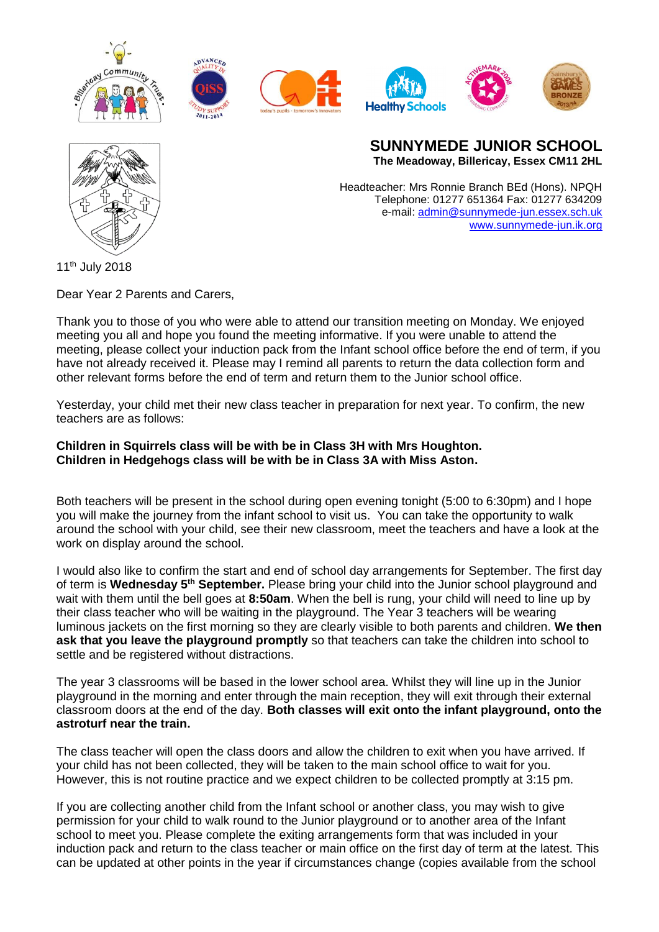



**SUNNYMEDE JUNIOR SCHOOL The Meadoway, Billericay, Essex CM11 2HL**

Headteacher: Mrs Ronnie Branch BEd (Hons). NPQH Telephone: 01277 651364 Fax: 01277 634209 e-mail: [admin@sunnymede-jun.essex.sch.uk](mailto:admin@sunnymede-jun.essex.sch.uk) [www.sunnymede-jun.ik.org](http://www.sunnymede-jun.ik.org/)

11<sup>th</sup> July 2018

Dear Year 2 Parents and Carers,

Thank you to those of you who were able to attend our transition meeting on Monday. We enjoyed meeting you all and hope you found the meeting informative. If you were unable to attend the meeting, please collect your induction pack from the Infant school office before the end of term, if you have not already received it. Please may I remind all parents to return the data collection form and other relevant forms before the end of term and return them to the Junior school office.

Yesterday, your child met their new class teacher in preparation for next year. To confirm, the new teachers are as follows:

**Children in Squirrels class will be with be in Class 3H with Mrs Houghton. Children in Hedgehogs class will be with be in Class 3A with Miss Aston.**

Both teachers will be present in the school during open evening tonight (5:00 to 6:30pm) and I hope you will make the journey from the infant school to visit us. You can take the opportunity to walk around the school with your child, see their new classroom, meet the teachers and have a look at the work on display around the school.

I would also like to confirm the start and end of school day arrangements for September. The first day of term is Wednesday 5<sup>th</sup> September. Please bring your child into the Junior school playground and wait with them until the bell goes at **8:50am**. When the bell is rung, your child will need to line up by their class teacher who will be waiting in the playground. The Year 3 teachers will be wearing luminous jackets on the first morning so they are clearly visible to both parents and children. **We then ask that you leave the playground promptly** so that teachers can take the children into school to settle and be registered without distractions.

The year 3 classrooms will be based in the lower school area. Whilst they will line up in the Junior playground in the morning and enter through the main reception, they will exit through their external classroom doors at the end of the day. **Both classes will exit onto the infant playground, onto the astroturf near the train.**

The class teacher will open the class doors and allow the children to exit when you have arrived. If your child has not been collected, they will be taken to the main school office to wait for you. However, this is not routine practice and we expect children to be collected promptly at 3:15 pm.

If you are collecting another child from the Infant school or another class, you may wish to give permission for your child to walk round to the Junior playground or to another area of the Infant school to meet you. Please complete the exiting arrangements form that was included in your induction pack and return to the class teacher or main office on the first day of term at the latest. This can be updated at other points in the year if circumstances change (copies available from the school